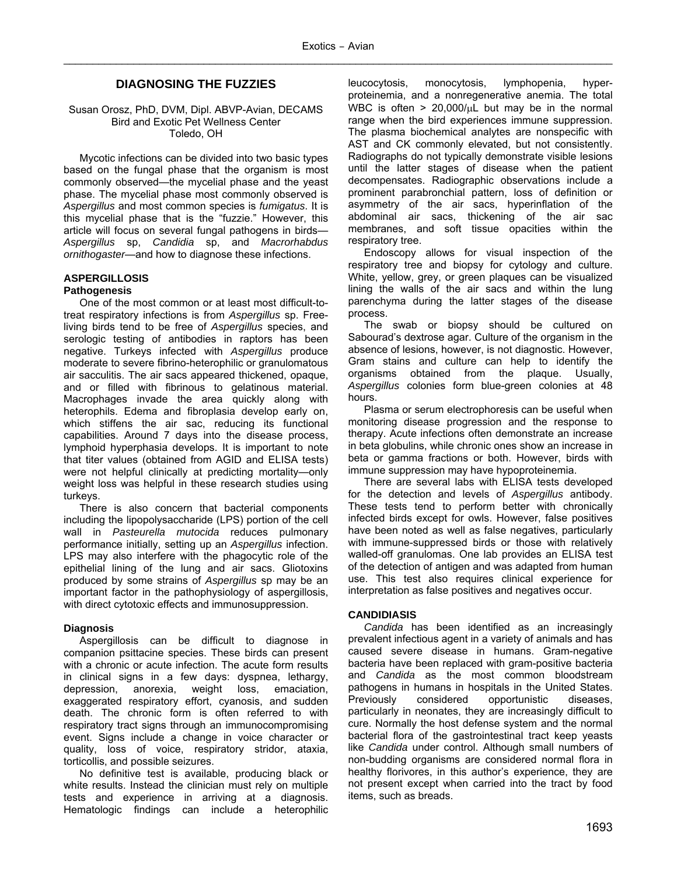## **DIAGNOSING THE FUZZIES**

### Susan Orosz, PhD, DVM, Dipl. ABVP-Avian, DECAMS Bird and Exotic Pet Wellness Center Toledo, OH

Mycotic infections can be divided into two basic types based on the fungal phase that the organism is most commonly observed—the mycelial phase and the yeast phase. The mycelial phase most commonly observed is *Aspergillus* and most common species is *fumigatus*. It is this mycelial phase that is the "fuzzie." However, this article will focus on several fungal pathogens in birds— *Aspergillus* sp, *Candidia* sp, and *Macrorhabdus ornithogaster*—and how to diagnose these infections.

# **ASPERGILLOSIS**

### **Pathogenesis**

One of the most common or at least most difficult-totreat respiratory infections is from *Aspergillus* sp. Freeliving birds tend to be free of *Aspergillus* species, and serologic testing of antibodies in raptors has been negative. Turkeys infected with *Aspergillus* produce moderate to severe fibrino-heterophilic or granulomatous air sacculitis. The air sacs appeared thickened, opaque, and or filled with fibrinous to gelatinous material. Macrophages invade the area quickly along with heterophils. Edema and fibroplasia develop early on, which stiffens the air sac, reducing its functional capabilities. Around 7 days into the disease process, lymphoid hyperphasia develops. It is important to note that titer values (obtained from AGID and ELISA tests) were not helpful clinically at predicting mortality—only weight loss was helpful in these research studies using turkeys.

There is also concern that bacterial components including the lipopolysaccharide (LPS) portion of the cell wall in *Pasteurella mutocida* reduces pulmonary performance initially, setting up an *Aspergillus* infection. LPS may also interfere with the phagocytic role of the epithelial lining of the lung and air sacs. Gliotoxins produced by some strains of *Aspergillus* sp may be an important factor in the pathophysiology of aspergillosis, with direct cytotoxic effects and immunosuppression.

#### **Diagnosis**

Aspergillosis can be difficult to diagnose in companion psittacine species. These birds can present with a chronic or acute infection. The acute form results in clinical signs in a few days: dyspnea, lethargy, depression, anorexia, weight loss, emaciation, exaggerated respiratory effort, cyanosis, and sudden death. The chronic form is often referred to with respiratory tract signs through an immunocompromising event. Signs include a change in voice character or quality, loss of voice, respiratory stridor, ataxia, torticollis, and possible seizures.

No definitive test is available, producing black or white results. Instead the clinician must rely on multiple tests and experience in arriving at a diagnosis. Hematologic findings can include a heterophilic leucocytosis, monocytosis, lymphopenia, hyperproteinemia, and a nonregenerative anemia. The total WBC is often  $> 20,000/\mu$ L but may be in the normal range when the bird experiences immune suppression. The plasma biochemical analytes are nonspecific with AST and CK commonly elevated, but not consistently. Radiographs do not typically demonstrate visible lesions until the latter stages of disease when the patient decompensates. Radiographic observations include a prominent parabronchial pattern, loss of definition or asymmetry of the air sacs, hyperinflation of the abdominal air sacs, thickening of the air sac membranes, and soft tissue opacities within the respiratory tree.

Endoscopy allows for visual inspection of the respiratory tree and biopsy for cytology and culture. White, yellow, grey, or green plaques can be visualized lining the walls of the air sacs and within the lung parenchyma during the latter stages of the disease process.

The swab or biopsy should be cultured on Sabourad's dextrose agar. Culture of the organism in the absence of lesions, however, is not diagnostic. However, Gram stains and culture can help to identify the organisms obtained from the plaque. Usually, *Aspergillus* colonies form blue-green colonies at 48 hours.

Plasma or serum electrophoresis can be useful when monitoring disease progression and the response to therapy. Acute infections often demonstrate an increase in beta globulins, while chronic ones show an increase in beta or gamma fractions or both. However, birds with immune suppression may have hypoproteinemia.

There are several labs with ELISA tests developed for the detection and levels of *Aspergillus* antibody. These tests tend to perform better with chronically infected birds except for owls. However, false positives have been noted as well as false negatives, particularly with immune-suppressed birds or those with relatively walled-off granulomas. One lab provides an ELISA test of the detection of antigen and was adapted from human use. This test also requires clinical experience for interpretation as false positives and negatives occur.

### **CANDIDIASIS**

*Candida* has been identified as an increasingly prevalent infectious agent in a variety of animals and has caused severe disease in humans. Gram-negative bacteria have been replaced with gram-positive bacteria and *Candida* as the most common bloodstream pathogens in humans in hospitals in the United States. Previously considered opportunistic diseases, particularly in neonates, they are increasingly difficult to cure. Normally the host defense system and the normal bacterial flora of the gastrointestinal tract keep yeasts like *Candida* under control. Although small numbers of non-budding organisms are considered normal flora in healthy florivores, in this author's experience, they are not present except when carried into the tract by food items, such as breads.